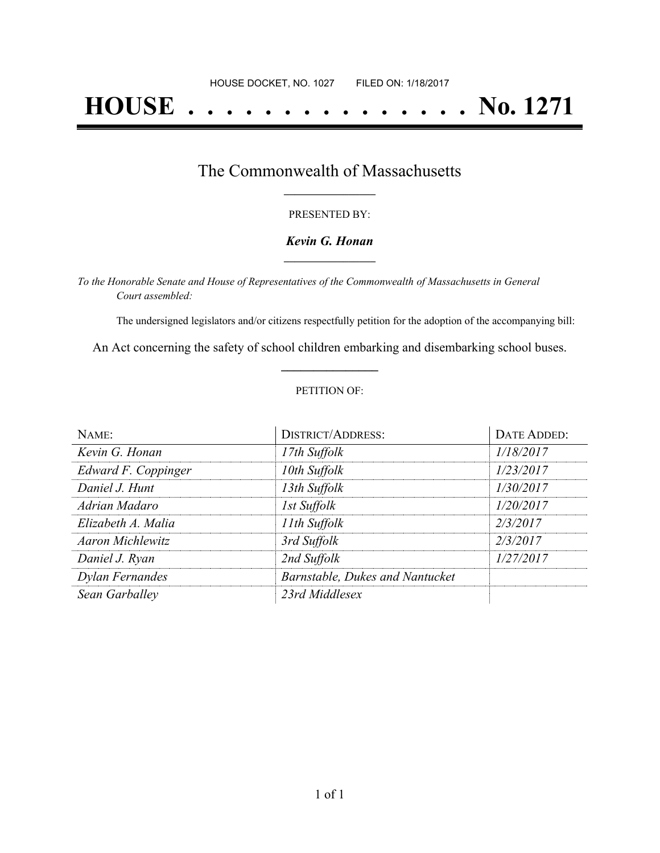# **HOUSE . . . . . . . . . . . . . . . No. 1271**

### The Commonwealth of Massachusetts **\_\_\_\_\_\_\_\_\_\_\_\_\_\_\_\_\_**

#### PRESENTED BY:

#### *Kevin G. Honan* **\_\_\_\_\_\_\_\_\_\_\_\_\_\_\_\_\_**

*To the Honorable Senate and House of Representatives of the Commonwealth of Massachusetts in General Court assembled:*

The undersigned legislators and/or citizens respectfully petition for the adoption of the accompanying bill:

An Act concerning the safety of school children embarking and disembarking school buses. **\_\_\_\_\_\_\_\_\_\_\_\_\_\_\_**

#### PETITION OF:

| NAME:                   | <b>DISTRICT/ADDRESS:</b>        | DATE ADDED: |
|-------------------------|---------------------------------|-------------|
| Kevin G. Honan          | 17th Suffolk                    | 1/18/2017   |
| Edward F. Coppinger     | 10th Suffolk                    | 1/23/2017   |
| Daniel J. Hunt          | 13th Suffolk                    | 1/30/2017   |
| Adrian Madaro           | 1st Suffolk                     | 1/20/2017   |
| Elizabeth A. Malia      | 11th Suffolk                    | 2/3/2017    |
| <b>Aaron Michlewitz</b> | 3rd Suffolk                     | 2/3/2017    |
| Daniel J. Ryan          | 2nd Suffolk                     | 1/27/2017   |
| Dylan Fernandes         | Barnstable, Dukes and Nantucket |             |
| Sean Garballey          | 23rd Middlesex                  |             |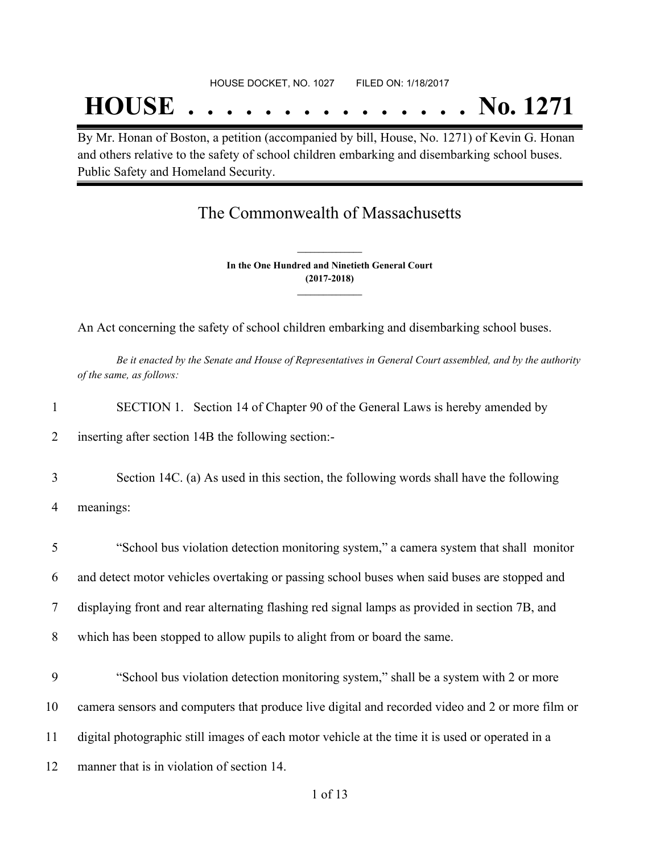## **HOUSE . . . . . . . . . . . . . . . No. 1271**

By Mr. Honan of Boston, a petition (accompanied by bill, House, No. 1271) of Kevin G. Honan and others relative to the safety of school children embarking and disembarking school buses. Public Safety and Homeland Security.

## The Commonwealth of Massachusetts

**In the One Hundred and Ninetieth General Court (2017-2018) \_\_\_\_\_\_\_\_\_\_\_\_\_\_\_**

**\_\_\_\_\_\_\_\_\_\_\_\_\_\_\_**

An Act concerning the safety of school children embarking and disembarking school buses.

Be it enacted by the Senate and House of Representatives in General Court assembled, and by the authority *of the same, as follows:*

| SECTION 1. Section 14 of Chapter 90 of the General Laws is hereby amended by |  |
|------------------------------------------------------------------------------|--|
|                                                                              |  |

2 inserting after section 14B the following section:-

3 Section 14C. (a) As used in this section, the following words shall have the following

4 meanings:

 "School bus violation detection monitoring system," a camera system that shall monitor and detect motor vehicles overtaking or passing school buses when said buses are stopped and displaying front and rear alternating flashing red signal lamps as provided in section 7B, and which has been stopped to allow pupils to alight from or board the same.

 "School bus violation detection monitoring system," shall be a system with 2 or more camera sensors and computers that produce live digital and recorded video and 2 or more film or digital photographic still images of each motor vehicle at the time it is used or operated in a manner that is in violation of section 14.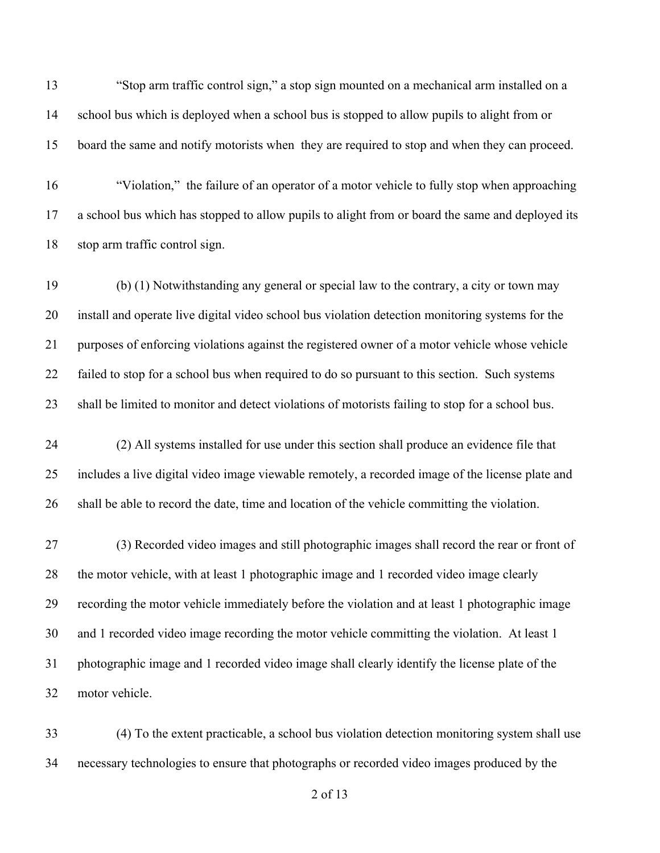"Stop arm traffic control sign," a stop sign mounted on a mechanical arm installed on a school bus which is deployed when a school bus is stopped to allow pupils to alight from or board the same and notify motorists when they are required to stop and when they can proceed.

 "Violation," the failure of an operator of a motor vehicle to fully stop when approaching a school bus which has stopped to allow pupils to alight from or board the same and deployed its stop arm traffic control sign.

 (b) (1) Notwithstanding any general or special law to the contrary, a city or town may install and operate live digital video school bus violation detection monitoring systems for the purposes of enforcing violations against the registered owner of a motor vehicle whose vehicle failed to stop for a school bus when required to do so pursuant to this section. Such systems shall be limited to monitor and detect violations of motorists failing to stop for a school bus.

 (2) All systems installed for use under this section shall produce an evidence file that includes a live digital video image viewable remotely, a recorded image of the license plate and shall be able to record the date, time and location of the vehicle committing the violation.

 (3) Recorded video images and still photographic images shall record the rear or front of the motor vehicle, with at least 1 photographic image and 1 recorded video image clearly recording the motor vehicle immediately before the violation and at least 1 photographic image and 1 recorded video image recording the motor vehicle committing the violation. At least 1 photographic image and 1 recorded video image shall clearly identify the license plate of the motor vehicle.

 (4) To the extent practicable, a school bus violation detection monitoring system shall use necessary technologies to ensure that photographs or recorded video images produced by the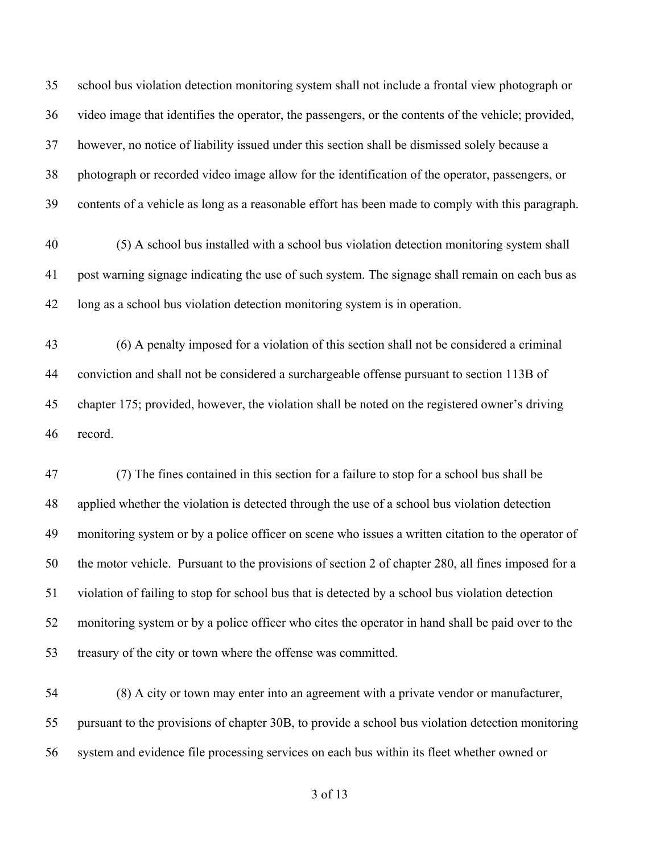school bus violation detection monitoring system shall not include a frontal view photograph or video image that identifies the operator, the passengers, or the contents of the vehicle; provided, however, no notice of liability issued under this section shall be dismissed solely because a photograph or recorded video image allow for the identification of the operator, passengers, or contents of a vehicle as long as a reasonable effort has been made to comply with this paragraph.

 (5) A school bus installed with a school bus violation detection monitoring system shall post warning signage indicating the use of such system. The signage shall remain on each bus as long as a school bus violation detection monitoring system is in operation.

 (6) A penalty imposed for a violation of this section shall not be considered a criminal conviction and shall not be considered a surchargeable offense pursuant to section 113B of chapter 175; provided, however, the violation shall be noted on the registered owner's driving record.

 (7) The fines contained in this section for a failure to stop for a school bus shall be applied whether the violation is detected through the use of a school bus violation detection monitoring system or by a police officer on scene who issues a written citation to the operator of the motor vehicle. Pursuant to the provisions of section 2 of chapter 280, all fines imposed for a violation of failing to stop for school bus that is detected by a school bus violation detection monitoring system or by a police officer who cites the operator in hand shall be paid over to the treasury of the city or town where the offense was committed.

 (8) A city or town may enter into an agreement with a private vendor or manufacturer, pursuant to the provisions of chapter 30B, to provide a school bus violation detection monitoring system and evidence file processing services on each bus within its fleet whether owned or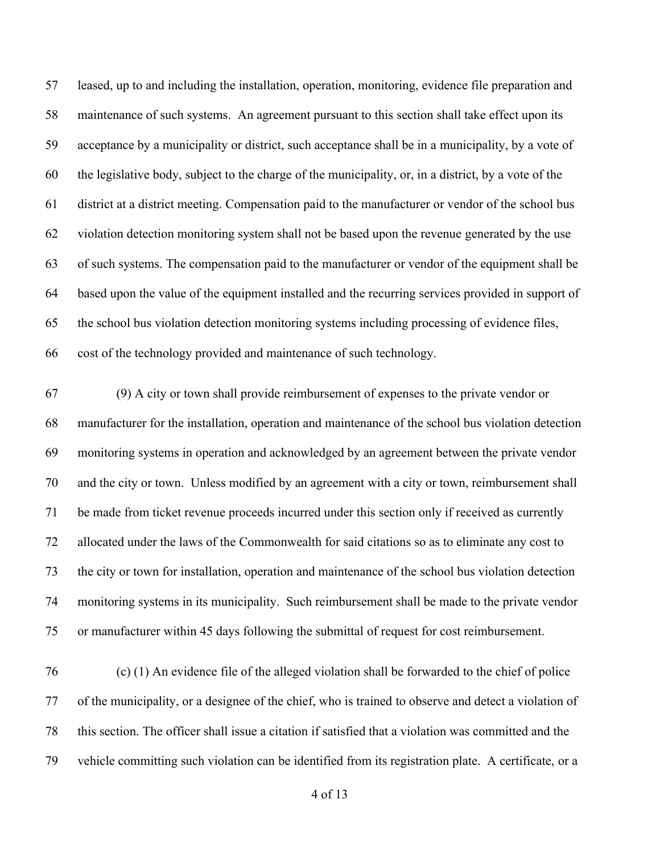leased, up to and including the installation, operation, monitoring, evidence file preparation and maintenance of such systems. An agreement pursuant to this section shall take effect upon its acceptance by a municipality or district, such acceptance shall be in a municipality, by a vote of the legislative body, subject to the charge of the municipality, or, in a district, by a vote of the district at a district meeting. Compensation paid to the manufacturer or vendor of the school bus violation detection monitoring system shall not be based upon the revenue generated by the use of such systems. The compensation paid to the manufacturer or vendor of the equipment shall be based upon the value of the equipment installed and the recurring services provided in support of the school bus violation detection monitoring systems including processing of evidence files, cost of the technology provided and maintenance of such technology.

 (9) A city or town shall provide reimbursement of expenses to the private vendor or manufacturer for the installation, operation and maintenance of the school bus violation detection monitoring systems in operation and acknowledged by an agreement between the private vendor and the city or town. Unless modified by an agreement with a city or town, reimbursement shall be made from ticket revenue proceeds incurred under this section only if received as currently allocated under the laws of the Commonwealth for said citations so as to eliminate any cost to the city or town for installation, operation and maintenance of the school bus violation detection monitoring systems in its municipality. Such reimbursement shall be made to the private vendor or manufacturer within 45 days following the submittal of request for cost reimbursement.

 (c) (1) An evidence file of the alleged violation shall be forwarded to the chief of police of the municipality, or a designee of the chief, who is trained to observe and detect a violation of this section. The officer shall issue a citation if satisfied that a violation was committed and the vehicle committing such violation can be identified from its registration plate. A certificate, or a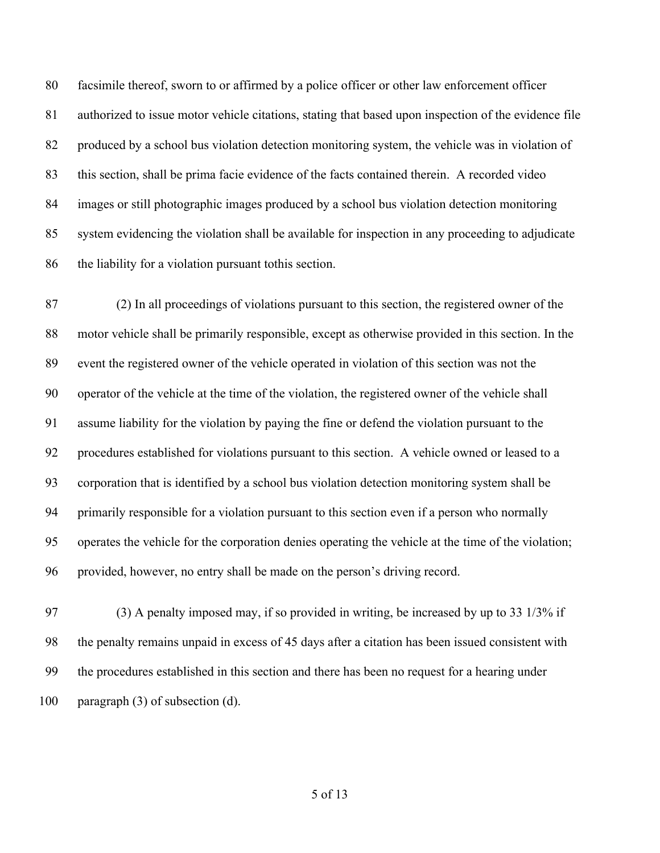facsimile thereof, sworn to or affirmed by a police officer or other law enforcement officer authorized to issue motor vehicle citations, stating that based upon inspection of the evidence file produced by a school bus violation detection monitoring system, the vehicle was in violation of this section, shall be prima facie evidence of the facts contained therein. A recorded video images or still photographic images produced by a school bus violation detection monitoring system evidencing the violation shall be available for inspection in any proceeding to adjudicate the liability for a violation pursuant tothis section.

 (2) In all proceedings of violations pursuant to this section, the registered owner of the motor vehicle shall be primarily responsible, except as otherwise provided in this section. In the event the registered owner of the vehicle operated in violation of this section was not the operator of the vehicle at the time of the violation, the registered owner of the vehicle shall assume liability for the violation by paying the fine or defend the violation pursuant to the procedures established for violations pursuant to this section. A vehicle owned or leased to a corporation that is identified by a school bus violation detection monitoring system shall be primarily responsible for a violation pursuant to this section even if a person who normally operates the vehicle for the corporation denies operating the vehicle at the time of the violation; provided, however, no entry shall be made on the person's driving record.

 (3) A penalty imposed may, if so provided in writing, be increased by up to 33 1/3% if the penalty remains unpaid in excess of 45 days after a citation has been issued consistent with the procedures established in this section and there has been no request for a hearing under paragraph (3) of subsection (d).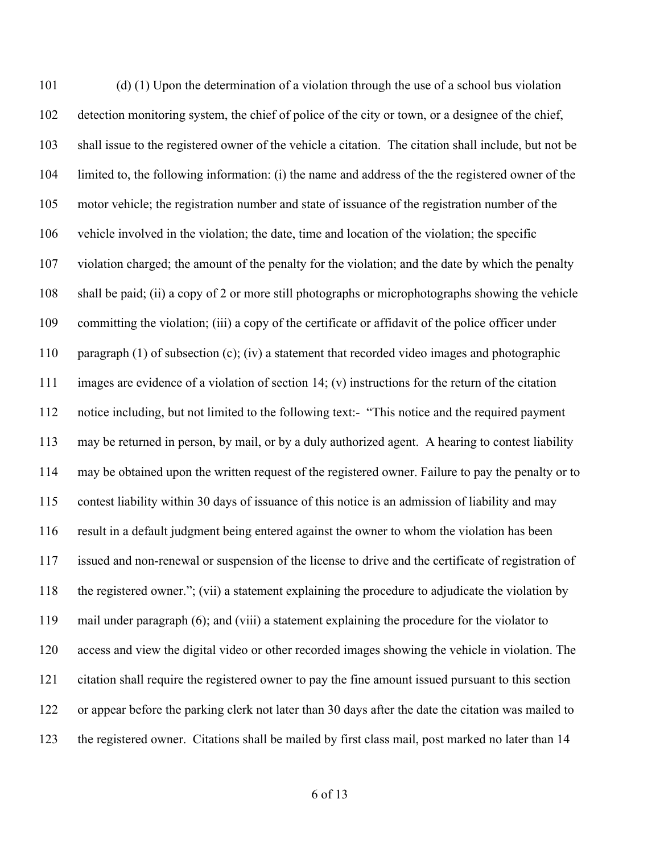(d) (1) Upon the determination of a violation through the use of a school bus violation detection monitoring system, the chief of police of the city or town, or a designee of the chief, shall issue to the registered owner of the vehicle a citation. The citation shall include, but not be limited to, the following information: (i) the name and address of the the registered owner of the motor vehicle; the registration number and state of issuance of the registration number of the vehicle involved in the violation; the date, time and location of the violation; the specific violation charged; the amount of the penalty for the violation; and the date by which the penalty shall be paid; (ii) a copy of 2 or more still photographs or microphotographs showing the vehicle committing the violation; (iii) a copy of the certificate or affidavit of the police officer under paragraph (1) of subsection (c); (iv) a statement that recorded video images and photographic images are evidence of a violation of section 14; (v) instructions for the return of the citation notice including, but not limited to the following text:- "This notice and the required payment may be returned in person, by mail, or by a duly authorized agent. A hearing to contest liability may be obtained upon the written request of the registered owner. Failure to pay the penalty or to contest liability within 30 days of issuance of this notice is an admission of liability and may result in a default judgment being entered against the owner to whom the violation has been issued and non-renewal or suspension of the license to drive and the certificate of registration of the registered owner."; (vii) a statement explaining the procedure to adjudicate the violation by mail under paragraph (6); and (viii) a statement explaining the procedure for the violator to access and view the digital video or other recorded images showing the vehicle in violation. The citation shall require the registered owner to pay the fine amount issued pursuant to this section or appear before the parking clerk not later than 30 days after the date the citation was mailed to the registered owner. Citations shall be mailed by first class mail, post marked no later than 14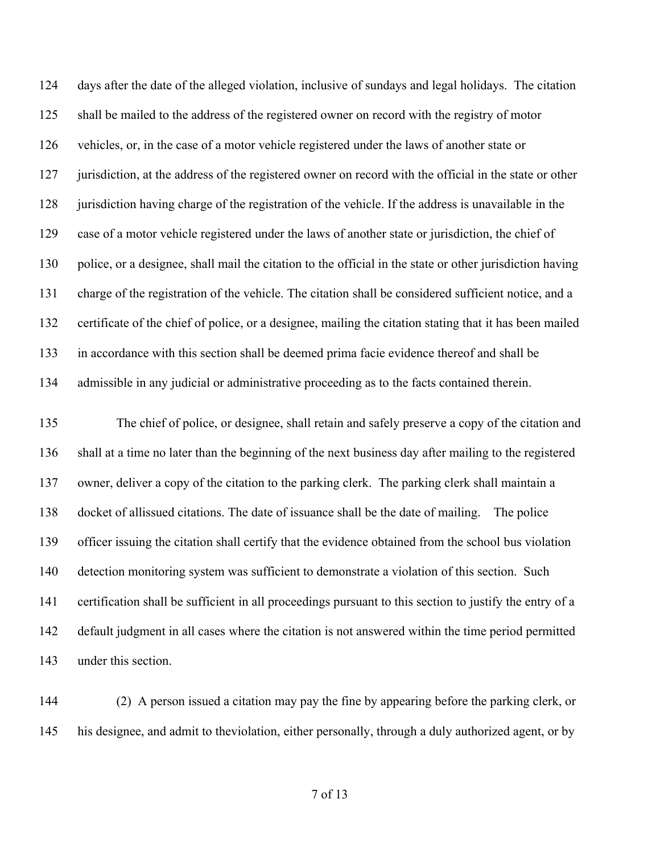days after the date of the alleged violation, inclusive of sundays and legal holidays. The citation shall be mailed to the address of the registered owner on record with the registry of motor vehicles, or, in the case of a motor vehicle registered under the laws of another state or 127 jurisdiction, at the address of the registered owner on record with the official in the state or other jurisdiction having charge of the registration of the vehicle. If the address is unavailable in the case of a motor vehicle registered under the laws of another state or jurisdiction, the chief of police, or a designee, shall mail the citation to the official in the state or other jurisdiction having charge of the registration of the vehicle. The citation shall be considered sufficient notice, and a certificate of the chief of police, or a designee, mailing the citation stating that it has been mailed in accordance with this section shall be deemed prima facie evidence thereof and shall be admissible in any judicial or administrative proceeding as to the facts contained therein.

 The chief of police, or designee, shall retain and safely preserve a copy of the citation and shall at a time no later than the beginning of the next business day after mailing to the registered owner, deliver a copy of the citation to the parking clerk. The parking clerk shall maintain a docket of allissued citations. The date of issuance shall be the date of mailing. The police officer issuing the citation shall certify that the evidence obtained from the school bus violation detection monitoring system was sufficient to demonstrate a violation of this section. Such certification shall be sufficient in all proceedings pursuant to this section to justify the entry of a default judgment in all cases where the citation is not answered within the time period permitted under this section.

 (2) A person issued a citation may pay the fine by appearing before the parking clerk, or his designee, and admit to theviolation, either personally, through a duly authorized agent, or by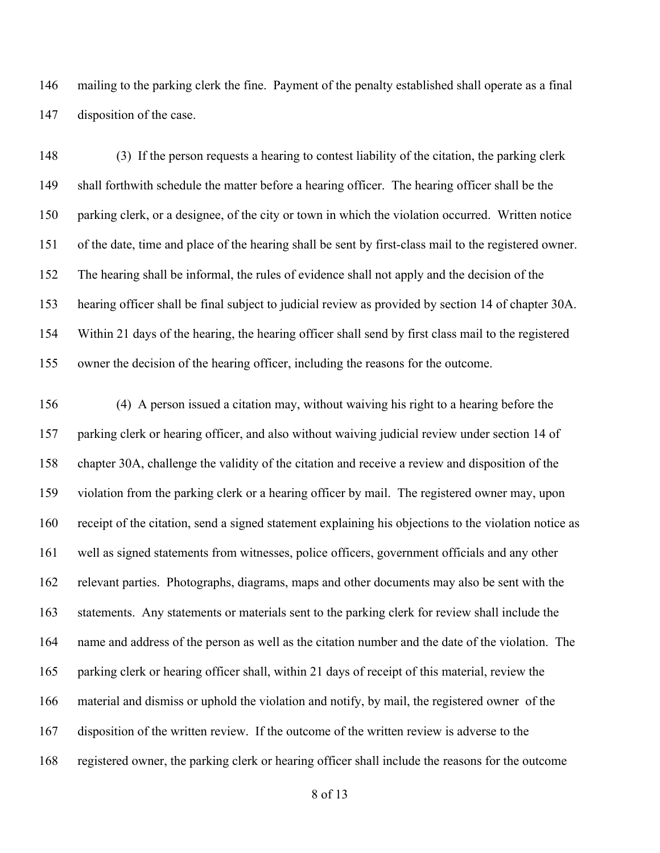mailing to the parking clerk the fine. Payment of the penalty established shall operate as a final disposition of the case.

 (3) If the person requests a hearing to contest liability of the citation, the parking clerk shall forthwith schedule the matter before a hearing officer. The hearing officer shall be the parking clerk, or a designee, of the city or town in which the violation occurred. Written notice of the date, time and place of the hearing shall be sent by first-class mail to the registered owner. The hearing shall be informal, the rules of evidence shall not apply and the decision of the hearing officer shall be final subject to judicial review as provided by section 14 of chapter 30A. Within 21 days of the hearing, the hearing officer shall send by first class mail to the registered owner the decision of the hearing officer, including the reasons for the outcome.

 (4) A person issued a citation may, without waiving his right to a hearing before the parking clerk or hearing officer, and also without waiving judicial review under section 14 of chapter 30A, challenge the validity of the citation and receive a review and disposition of the violation from the parking clerk or a hearing officer by mail. The registered owner may, upon receipt of the citation, send a signed statement explaining his objections to the violation notice as well as signed statements from witnesses, police officers, government officials and any other relevant parties. Photographs, diagrams, maps and other documents may also be sent with the statements. Any statements or materials sent to the parking clerk for review shall include the name and address of the person as well as the citation number and the date of the violation. The parking clerk or hearing officer shall, within 21 days of receipt of this material, review the material and dismiss or uphold the violation and notify, by mail, the registered owner of the disposition of the written review. If the outcome of the written review is adverse to the registered owner, the parking clerk or hearing officer shall include the reasons for the outcome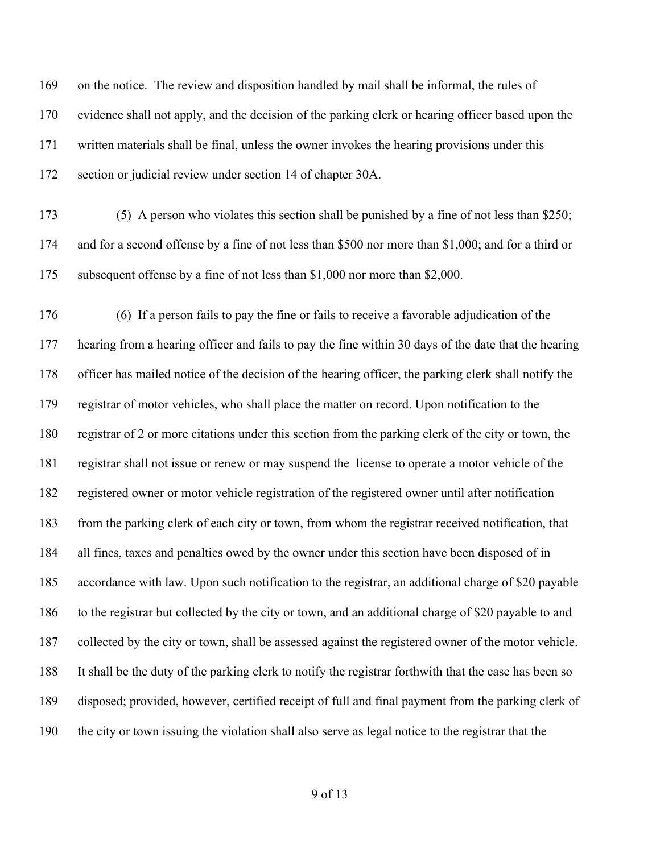on the notice. The review and disposition handled by mail shall be informal, the rules of evidence shall not apply, and the decision of the parking clerk or hearing officer based upon the written materials shall be final, unless the owner invokes the hearing provisions under this section or judicial review under section 14 of chapter 30A. (5) A person who violates this section shall be punished by a fine of not less than \$250; and for a second offense by a fine of not less than \$500 nor more than \$1,000; and for a third or subsequent offense by a fine of not less than \$1,000 nor more than \$2,000. (6) If a person fails to pay the fine or fails to receive a favorable adjudication of the hearing from a hearing officer and fails to pay the fine within 30 days of the date that the hearing officer has mailed notice of the decision of the hearing officer, the parking clerk shall notify the registrar of motor vehicles, who shall place the matter on record. Upon notification to the registrar of 2 or more citations under this section from the parking clerk of the city or town, the registrar shall not issue or renew or may suspend the license to operate a motor vehicle of the registered owner or motor vehicle registration of the registered owner until after notification from the parking clerk of each city or town, from whom the registrar received notification, that all fines, taxes and penalties owed by the owner under this section have been disposed of in accordance with law. Upon such notification to the registrar, an additional charge of \$20 payable to the registrar but collected by the city or town, and an additional charge of \$20 payable to and collected by the city or town, shall be assessed against the registered owner of the motor vehicle. It shall be the duty of the parking clerk to notify the registrar forthwith that the case has been so disposed; provided, however, certified receipt of full and final payment from the parking clerk of the city or town issuing the violation shall also serve as legal notice to the registrar that the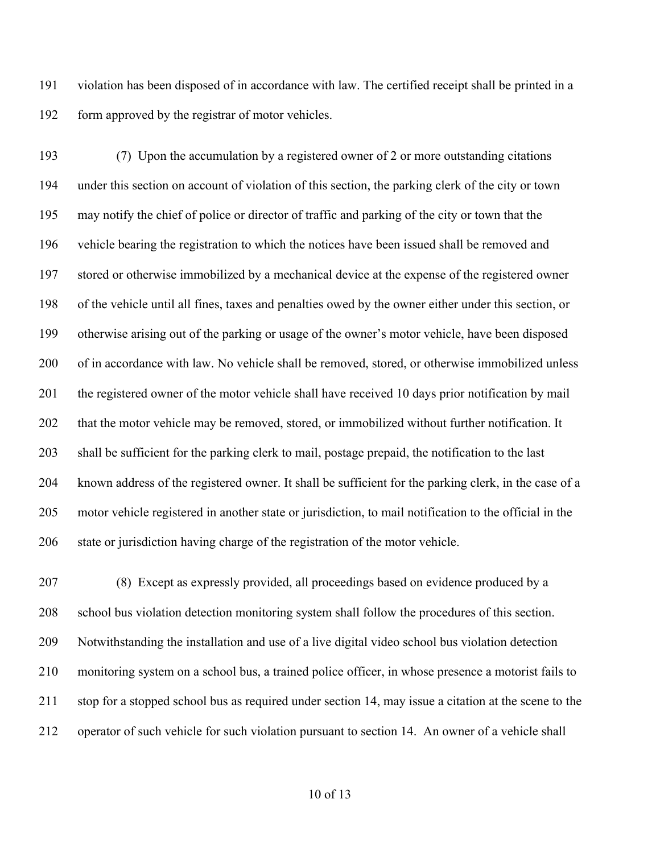violation has been disposed of in accordance with law. The certified receipt shall be printed in a form approved by the registrar of motor vehicles.

 (7) Upon the accumulation by a registered owner of 2 or more outstanding citations under this section on account of violation of this section, the parking clerk of the city or town may notify the chief of police or director of traffic and parking of the city or town that the vehicle bearing the registration to which the notices have been issued shall be removed and stored or otherwise immobilized by a mechanical device at the expense of the registered owner of the vehicle until all fines, taxes and penalties owed by the owner either under this section, or otherwise arising out of the parking or usage of the owner's motor vehicle, have been disposed 200 of in accordance with law. No vehicle shall be removed, stored, or otherwise immobilized unless 201 the registered owner of the motor vehicle shall have received 10 days prior notification by mail 202 that the motor vehicle may be removed, stored, or immobilized without further notification. It shall be sufficient for the parking clerk to mail, postage prepaid, the notification to the last known address of the registered owner. It shall be sufficient for the parking clerk, in the case of a motor vehicle registered in another state or jurisdiction, to mail notification to the official in the state or jurisdiction having charge of the registration of the motor vehicle.

 (8) Except as expressly provided, all proceedings based on evidence produced by a school bus violation detection monitoring system shall follow the procedures of this section. Notwithstanding the installation and use of a live digital video school bus violation detection monitoring system on a school bus, a trained police officer, in whose presence a motorist fails to stop for a stopped school bus as required under section 14, may issue a citation at the scene to the operator of such vehicle for such violation pursuant to section 14. An owner of a vehicle shall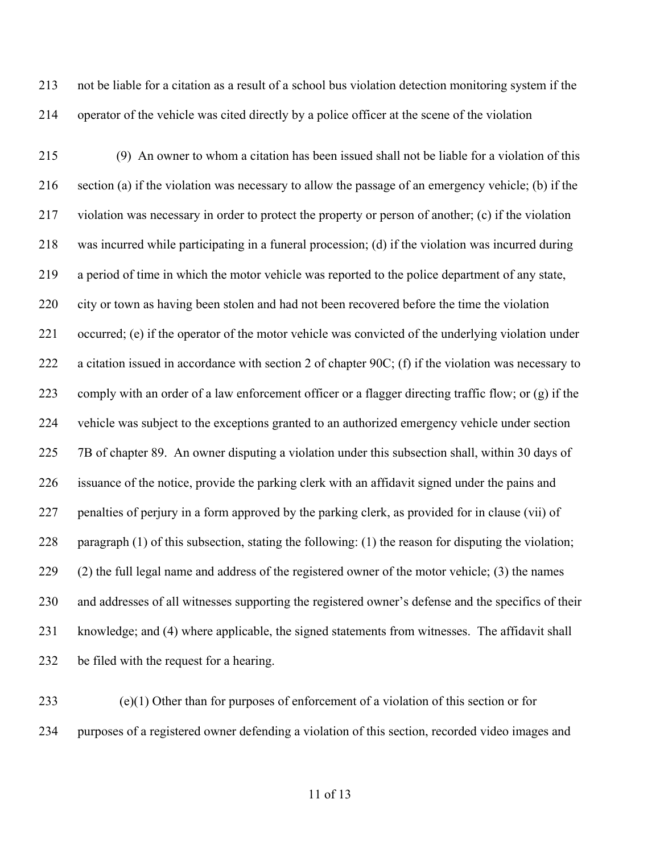not be liable for a citation as a result of a school bus violation detection monitoring system if the operator of the vehicle was cited directly by a police officer at the scene of the violation

 (9) An owner to whom a citation has been issued shall not be liable for a violation of this section (a) if the violation was necessary to allow the passage of an emergency vehicle; (b) if the violation was necessary in order to protect the property or person of another; (c) if the violation was incurred while participating in a funeral procession; (d) if the violation was incurred during a period of time in which the motor vehicle was reported to the police department of any state, city or town as having been stolen and had not been recovered before the time the violation occurred; (e) if the operator of the motor vehicle was convicted of the underlying violation under a citation issued in accordance with section 2 of chapter 90C; (f) if the violation was necessary to comply with an order of a law enforcement officer or a flagger directing traffic flow; or (g) if the vehicle was subject to the exceptions granted to an authorized emergency vehicle under section 7B of chapter 89. An owner disputing a violation under this subsection shall, within 30 days of issuance of the notice, provide the parking clerk with an affidavit signed under the pains and penalties of perjury in a form approved by the parking clerk, as provided for in clause (vii) of paragraph (1) of this subsection, stating the following: (1) the reason for disputing the violation; (2) the full legal name and address of the registered owner of the motor vehicle; (3) the names and addresses of all witnesses supporting the registered owner's defense and the specifics of their knowledge; and (4) where applicable, the signed statements from witnesses. The affidavit shall be filed with the request for a hearing.

 (e)(1) Other than for purposes of enforcement of a violation of this section or for purposes of a registered owner defending a violation of this section, recorded video images and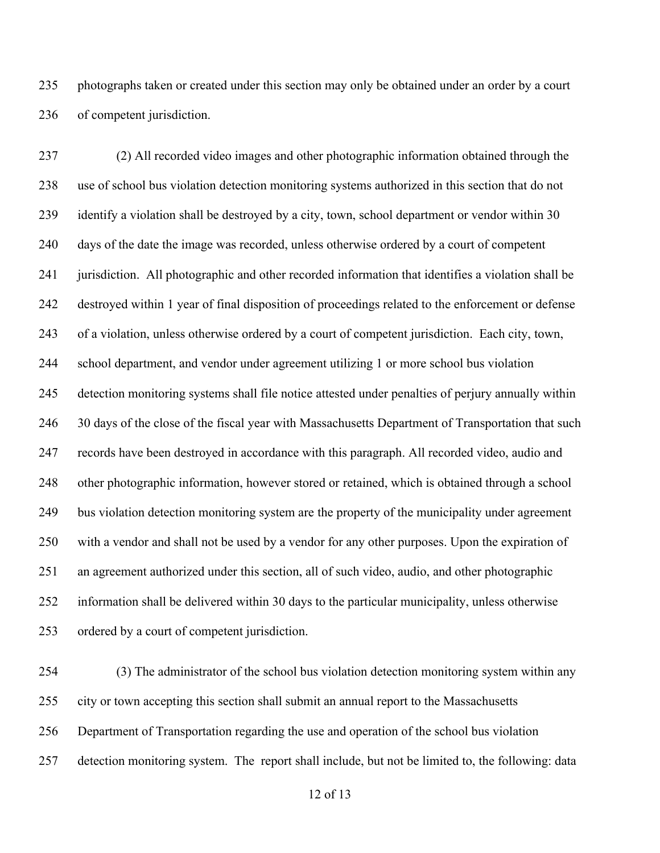photographs taken or created under this section may only be obtained under an order by a court of competent jurisdiction.

 (2) All recorded video images and other photographic information obtained through the use of school bus violation detection monitoring systems authorized in this section that do not 239 identify a violation shall be destroyed by a city, town, school department or vendor within 30 days of the date the image was recorded, unless otherwise ordered by a court of competent jurisdiction. All photographic and other recorded information that identifies a violation shall be destroyed within 1 year of final disposition of proceedings related to the enforcement or defense of a violation, unless otherwise ordered by a court of competent jurisdiction. Each city, town, school department, and vendor under agreement utilizing 1 or more school bus violation detection monitoring systems shall file notice attested under penalties of perjury annually within 246 30 days of the close of the fiscal year with Massachusetts Department of Transportation that such records have been destroyed in accordance with this paragraph. All recorded video, audio and other photographic information, however stored or retained, which is obtained through a school bus violation detection monitoring system are the property of the municipality under agreement with a vendor and shall not be used by a vendor for any other purposes. Upon the expiration of an agreement authorized under this section, all of such video, audio, and other photographic information shall be delivered within 30 days to the particular municipality, unless otherwise ordered by a court of competent jurisdiction.

 (3) The administrator of the school bus violation detection monitoring system within any city or town accepting this section shall submit an annual report to the Massachusetts Department of Transportation regarding the use and operation of the school bus violation detection monitoring system. The report shall include, but not be limited to, the following: data